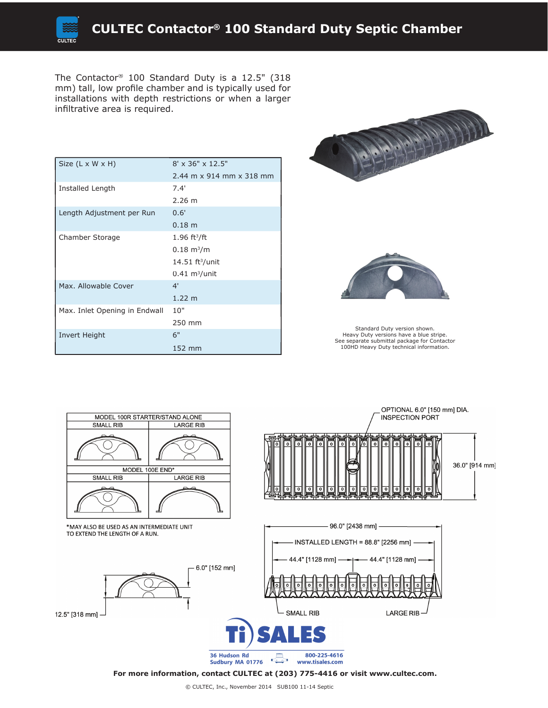The Contactor® 100 Standard Duty is a 12.5" (318 mm) tall, low profile chamber and is typically used for installations with depth restrictions or when a larger infiltrative area is required.

| Size (L x W x H)              | $8' \times 36'' \times 12.5''$    |
|-------------------------------|-----------------------------------|
|                               | 2.44 m x 914 mm x 318 mm          |
| Installed Length              | 7.4'                              |
|                               | $2.26 \; m$                       |
| Length Adjustment per Run     | 0.6'                              |
|                               | 0.18 m                            |
| Chamber Storage               | $1.96$ ft <sup>3</sup> /ft        |
|                               | $0.18 \; \mathrm{m}^3/\mathrm{m}$ |
|                               | $14.51$ ft <sup>3</sup> /unit     |
|                               | $0.41 \text{ m}^3/\text{unit}$    |
| Max. Allowable Cover          | 4'                                |
|                               | $1.22 \; m$                       |
| Max. Inlet Opening in Endwall | 10"                               |
|                               | 250 mm                            |
| Invert Height                 | 6"                                |
|                               | 152 mm                            |





Standard Duty version shown. Heavy Duty versions have a blue stripe. See separate submittal package for Contactor 100HD Heavy Duty technical information.



**For more information, contact CULTEC at (203) 775-4416 or visit www.cultec.com.**